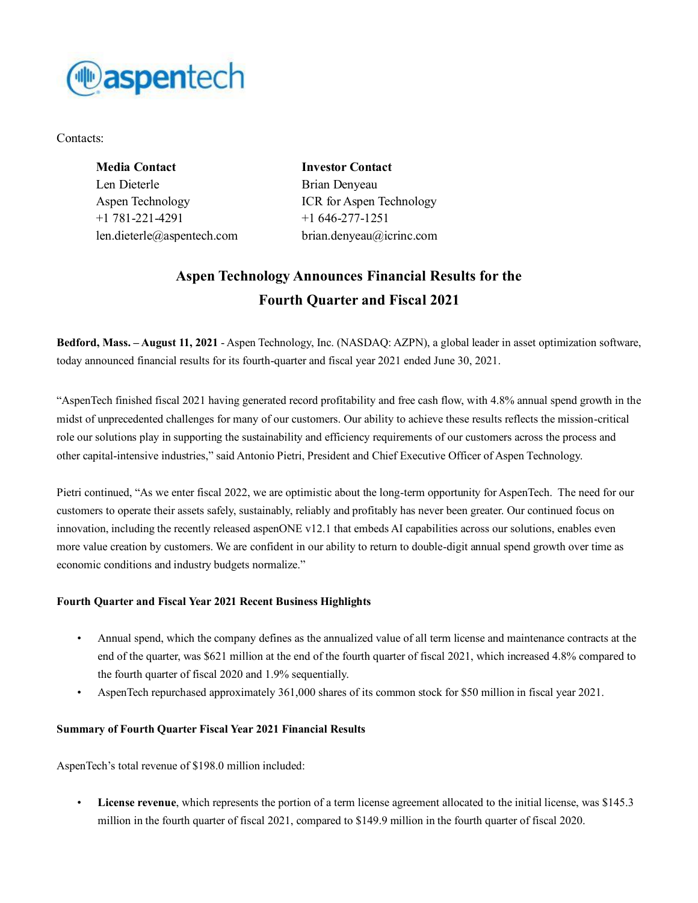

Contacts:

| <b>Investor Contact</b>   |
|---------------------------|
| Brian Denyeau             |
| ICR for Aspen Technology  |
| $+1646-277-1251$          |
| brain. denyeau@icrine.com |
|                           |

# **Aspen Technology Announces Financial Results for the Fourth Quarter and Fiscal 2021**

**Bedford, Mass. – August 11, 2021** - Aspen Technology, Inc. (NASDAQ: AZPN), a global leader in asset optimization software, today announced financial results for its fourth-quarter and fiscal year 2021 ended June 30, 2021.

"AspenTech finished fiscal 2021 having generated record profitability and free cash flow, with 4.8% annual spend growth in the midst of unprecedented challenges for many of our customers. Our ability to achieve these results reflects the mission-critical role our solutions play in supporting the sustainability and efficiency requirements of our customers across the process and other capital-intensive industries," said Antonio Pietri, President and Chief Executive Officer of Aspen Technology.

Pietri continued, "As we enter fiscal 2022, we are optimistic about the long-term opportunity for AspenTech. The need for our customers to operate their assets safely, sustainably, reliably and profitably has never been greater. Our continued focus on innovation, including the recently released aspenONE v12.1 that embeds AI capabilities across our solutions, enables even more value creation by customers. We are confident in our ability to return to double-digit annual spend growth over time as economic conditions and industry budgets normalize."

# **Fourth Quarter and Fiscal Year 2021 Recent Business Highlights**

- Annual spend, which the company defines as the annualized value of all term license and maintenance contracts at the end of the quarter, was \$621 million at the end of the fourth quarter of fiscal 2021, which increased 4.8% compared to the fourth quarter of fiscal 2020 and 1.9% sequentially.
- AspenTech repurchased approximately 361,000 shares of its common stock for \$50 million in fiscal year 2021.

### **Summary of Fourth Quarter Fiscal Year 2021 Financial Results**

AspenTech's total revenue of \$198.0 million included:

• **License revenue**, which represents the portion of a term license agreement allocated to the initial license, was \$145.3 million in the fourth quarter of fiscal 2021, compared to \$149.9 million in the fourth quarter of fiscal 2020.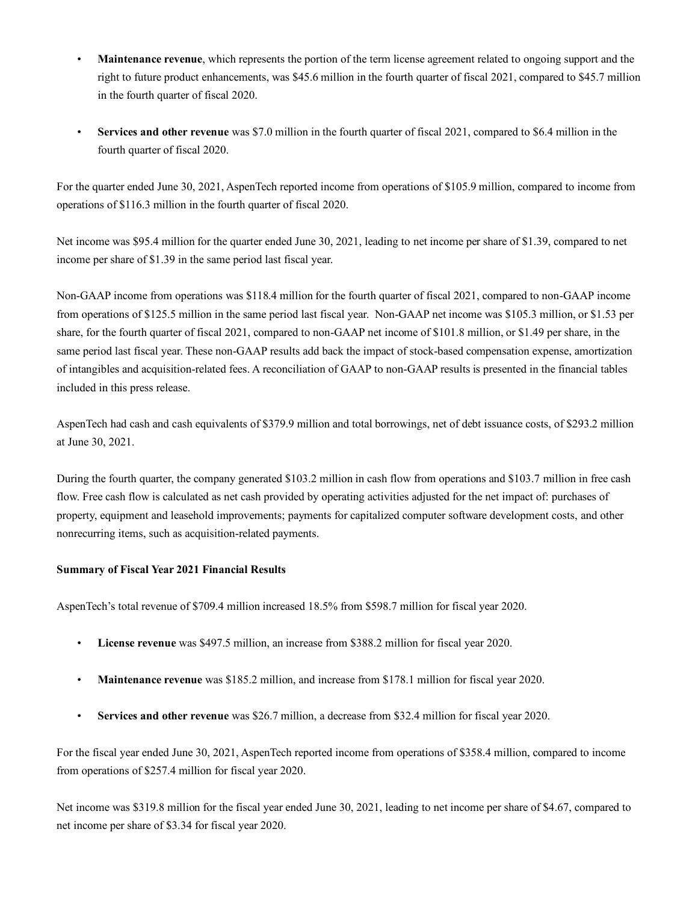- **Maintenance revenue**, which represents the portion of the term license agreement related to ongoing support and the right to future product enhancements, was \$45.6 million in the fourth quarter of fiscal 2021, compared to \$45.7 million in the fourth quarter of fiscal 2020.
- **Services and other revenue** was \$7.0 million in the fourth quarter of fiscal 2021, compared to \$6.4 million in the fourth quarter of fiscal 2020.

For the quarter ended June 30, 2021, AspenTech reported income from operations of \$105.9 million, compared to income from operations of \$116.3 million in the fourth quarter of fiscal 2020.

Net income was \$95.4 million for the quarter ended June 30, 2021, leading to net income per share of \$1.39, compared to net income per share of \$1.39 in the same period last fiscal year.

Non-GAAP income from operations was \$118.4 million for the fourth quarter of fiscal 2021, compared to non-GAAP income from operations of \$125.5 million in the same period last fiscal year. Non-GAAP net income was \$105.3 million, or \$1.53 per share, for the fourth quarter of fiscal 2021, compared to non-GAAP net income of \$101.8 million, or \$1.49 per share, in the same period last fiscal year. These non-GAAP results add back the impact of stock-based compensation expense, amortization of intangibles and acquisition-related fees. A reconciliation of GAAP to non-GAAP results is presented in the financial tables included in this press release.

AspenTech had cash and cash equivalents of \$379.9 million and total borrowings, net of debt issuance costs, of \$293.2 million at June 30, 2021.

During the fourth quarter, the company generated \$103.2 million in cash flow from operations and \$103.7 million in free cash flow. Free cash flow is calculated as net cash provided by operating activities adjusted for the net impact of: purchases of property, equipment and leasehold improvements; payments for capitalized computer software development costs, and other nonrecurring items, such as acquisition-related payments.

### **Summary of Fiscal Year 2021 Financial Results**

AspenTech's total revenue of \$709.4 million increased 18.5% from \$598.7 million for fiscal year 2020.

- **License revenue** was \$497.5 million, an increase from \$388.2 million for fiscal year 2020.
- **Maintenance revenue** was \$185.2 million, and increase from \$178.1 million for fiscal year 2020.
- **Services and other revenue** was \$26.7 million, a decrease from \$32.4 million for fiscal year 2020.

For the fiscal year ended June 30, 2021, AspenTech reported income from operations of \$358.4 million, compared to income from operations of \$257.4 million for fiscal year 2020.

Net income was \$319.8 million for the fiscal year ended June 30, 2021, leading to net income per share of \$4.67, compared to net income per share of \$3.34 for fiscal year 2020.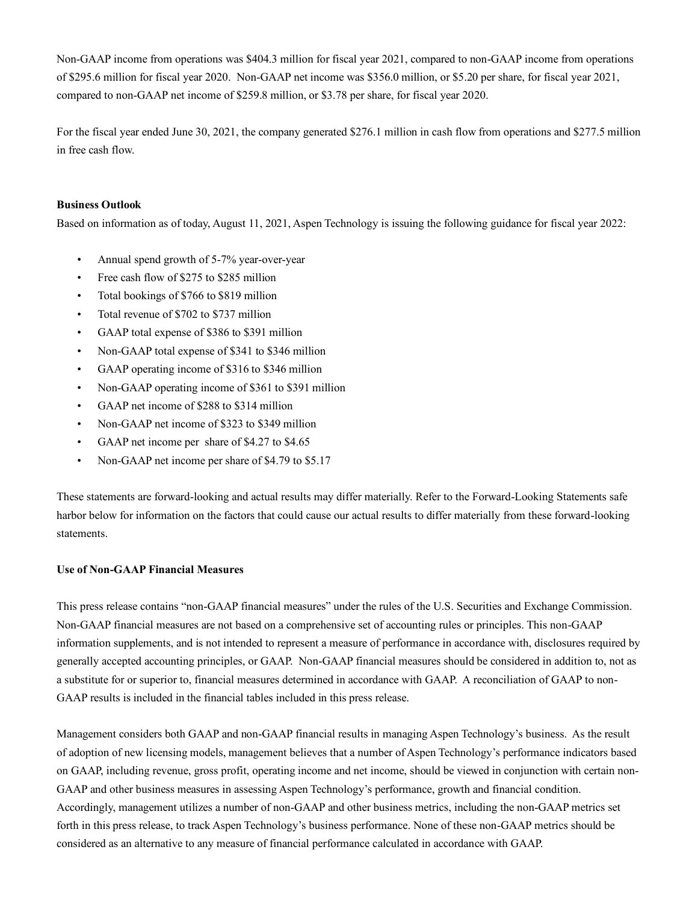Non-GAAP income from operations was \$404.3 million for fiscal year 2021, compared to non-GAAP income from operations of \$295.6 million for fiscal year 2020. Non-GAAP net income was \$356.0 million, or \$5.20 per share, for fiscal year 2021, compared to non-GAAP net income of \$259.8 million, or \$3.78 per share, for fiscal year 2020.

For the fiscal year ended June 30, 2021, the company generated \$276.1 million in cash flow from operations and \$277.5 million in free cash flow.

### **Business Outlook**

Based on information as of today, August 11, 2021, Aspen Technology is issuing the following guidance for fiscal year 2022:

- Annual spend growth of 5-7% year-over-year
- Free cash flow of \$275 to \$285 million
- Total bookings of \$766 to \$819 million
- Total revenue of \$702 to \$737 million
- GAAP total expense of \$386 to \$391 million
- Non-GAAP total expense of \$341 to \$346 million
- GAAP operating income of \$316 to \$346 million
- Non-GAAP operating income of \$361 to \$391 million
- GAAP net income of \$288 to \$314 million
- Non-GAAP net income of \$323 to \$349 million
- GAAP net income per share of \$4.27 to \$4.65
- Non-GAAP net income per share of \$4.79 to \$5.17

These statements are forward-looking and actual results may differ materially. Refer to the Forward-Looking Statements safe harbor below for information on the factors that could cause our actual results to differ materially from these forward-looking statements.

# **Use of Non-GAAP Financial Measures**

This press release contains "non-GAAP financial measures" under the rules of the U.S. Securities and Exchange Commission. Non-GAAP financial measures are not based on a comprehensive set of accounting rules or principles. This non-GAAP information supplements, and is not intended to represent a measure of performance in accordance with, disclosures required by generally accepted accounting principles, or GAAP. Non-GAAP financial measures should be considered in addition to, not as a substitute for or superior to, financial measures determined in accordance with GAAP. A reconciliation of GAAP to non-GAAP results is included in the financial tables included in this press release.

Management considers both GAAP and non-GAAP financial results in managing Aspen Technology's business. As the result of adoption of new licensing models, management believes that a number of Aspen Technology's performance indicators based on GAAP, including revenue, gross profit, operating income and net income, should be viewed in conjunction with certain non-GAAP and other business measures in assessing Aspen Technology's performance, growth and financial condition. Accordingly, management utilizes a number of non-GAAP and other business metrics, including the non-GAAP metrics set forth in this press release, to track Aspen Technology's business performance. None of these non-GAAP metrics should be considered as an alternative to any measure of financial performance calculated in accordance with GAAP.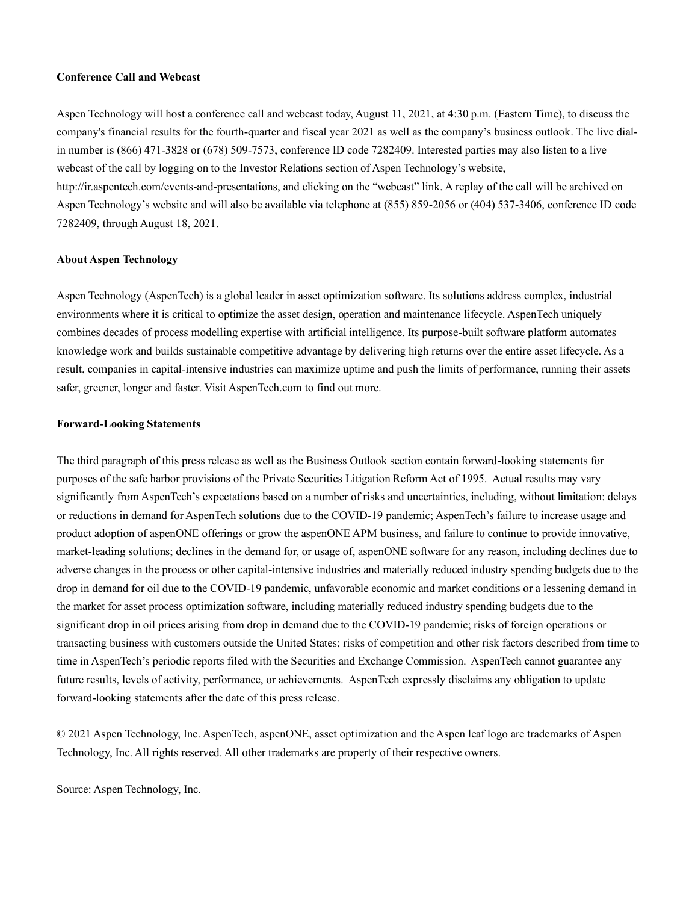#### **Conference Call and Webcast**

Aspen Technology will host a conference call and webcast today, August 11, 2021, at 4:30 p.m. (Eastern Time), to discuss the company's financial results for the fourth-quarter and fiscal year 2021 as well as the company's business outlook. The live dialin number is (866) 471-3828 or (678) 509-7573, conference ID code 7282409. Interested parties may also listen to a live webcast of the call by logging on to the Investor Relations section of Aspen Technology's website, http://ir.aspentech.com/events-and-presentations, and clicking on the "webcast" link. A replay of the call will be archived on Aspen Technology's website and will also be available via telephone at (855) 859-2056 or (404) 537-3406, conference ID code

#### **About Aspen Technology**

7282409, through August 18, 2021.

Aspen Technology (AspenTech) is a global leader in asset optimization software. Its solutions address complex, industrial environments where it is critical to optimize the asset design, operation and maintenance lifecycle. AspenTech uniquely combines decades of process modelling expertise with artificial intelligence. Its purpose-built software platform automates knowledge work and builds sustainable competitive advantage by delivering high returns over the entire asset lifecycle. As a result, companies in capital-intensive industries can maximize uptime and push the limits of performance, running their assets safer, greener, longer and faster. Visit AspenTech.com to find out more.

#### **Forward-Looking Statements**

The third paragraph of this press release as well as the Business Outlook section contain forward-looking statements for purposes of the safe harbor provisions of the Private Securities Litigation Reform Act of 1995. Actual results may vary significantly from AspenTech's expectations based on a number of risks and uncertainties, including, without limitation: delays or reductions in demand for AspenTech solutions due to the COVID-19 pandemic; AspenTech's failure to increase usage and product adoption of aspenONE offerings or grow the aspenONE APM business, and failure to continue to provide innovative, market-leading solutions; declines in the demand for, or usage of, aspenONE software for any reason, including declines due to adverse changes in the process or other capital-intensive industries and materially reduced industry spending budgets due to the drop in demand for oil due to the COVID-19 pandemic, unfavorable economic and market conditions or a lessening demand in the market for asset process optimization software, including materially reduced industry spending budgets due to the significant drop in oil prices arising from drop in demand due to the COVID-19 pandemic; risks of foreign operations or transacting business with customers outside the United States; risks of competition and other risk factors described from time to time in AspenTech's periodic reports filed with the Securities and Exchange Commission. AspenTech cannot guarantee any future results, levels of activity, performance, or achievements. AspenTech expressly disclaims any obligation to update forward-looking statements after the date of this press release.

© 2021 Aspen Technology, Inc. AspenTech, aspenONE, asset optimization and the Aspen leaf logo are trademarks of Aspen Technology, Inc. All rights reserved. All other trademarks are property of their respective owners.

Source: Aspen Technology, Inc.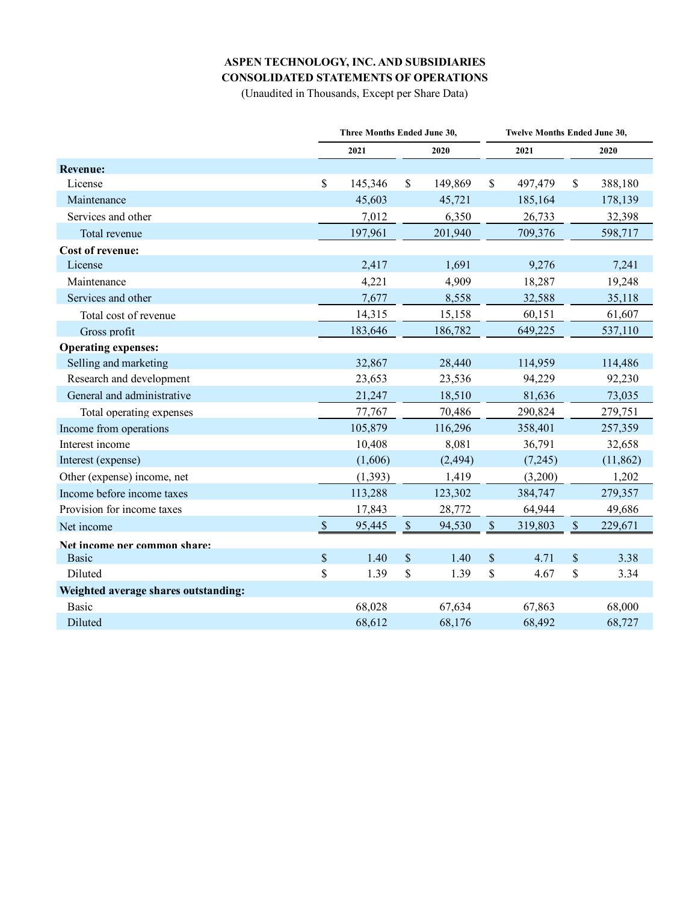# **ASPEN TECHNOLOGY, INC. AND SUBSIDIARIES CONSOLIDATED STATEMENTS OF OPERATIONS**

(Unaudited in Thousands, Except per Share Data)

|                                      |               | Three Months Ended June 30, |      | <b>Twelve Months Ended June 30,</b> |                           |         |               |           |  |  |
|--------------------------------------|---------------|-----------------------------|------|-------------------------------------|---------------------------|---------|---------------|-----------|--|--|
|                                      |               | 2021                        | 2020 |                                     |                           | 2021    |               | 2020      |  |  |
| <b>Revenue:</b>                      |               |                             |      |                                     |                           |         |               |           |  |  |
| License                              | \$            | 145,346                     | \$   | 149,869                             | \$                        | 497,479 | \$            | 388,180   |  |  |
| Maintenance                          |               | 45,603                      |      | 45,721                              |                           | 185,164 |               | 178,139   |  |  |
| Services and other                   |               | 7,012                       |      | 6,350                               |                           | 26,733  |               | 32,398    |  |  |
| Total revenue                        |               | 197,961                     |      | 201,940                             |                           | 709,376 |               | 598,717   |  |  |
| <b>Cost of revenue:</b>              |               |                             |      |                                     |                           |         |               |           |  |  |
| License                              |               | 2,417                       |      | 1,691                               |                           | 9,276   |               | 7,241     |  |  |
| Maintenance                          |               | 4,221                       |      | 4,909                               |                           | 18,287  |               | 19,248    |  |  |
| Services and other                   |               | 7,677                       |      | 8,558                               |                           | 32,588  |               | 35,118    |  |  |
| Total cost of revenue                |               | 14,315                      |      | 15,158                              |                           | 60,151  |               | 61,607    |  |  |
| Gross profit                         |               | 183,646                     |      | 186,782                             |                           | 649,225 |               | 537,110   |  |  |
| <b>Operating expenses:</b>           |               |                             |      |                                     |                           |         |               |           |  |  |
| Selling and marketing                |               | 32,867                      |      | 28,440                              |                           | 114,959 |               | 114,486   |  |  |
| Research and development             |               | 23,653                      |      | 23,536                              |                           | 94,229  |               | 92,230    |  |  |
| General and administrative           |               | 21,247                      |      | 18,510                              |                           | 81,636  |               | 73,035    |  |  |
| Total operating expenses             |               | 77,767                      |      | 70,486                              |                           | 290,824 |               | 279,751   |  |  |
| Income from operations               |               | 105,879                     |      | 116,296                             |                           | 358,401 |               | 257,359   |  |  |
| Interest income                      |               | 10,408                      |      | 8,081                               |                           | 36,791  |               | 32,658    |  |  |
| Interest (expense)                   |               | (1,606)                     |      | (2, 494)                            |                           | (7,245) |               | (11, 862) |  |  |
| Other (expense) income, net          |               | (1, 393)                    |      | 1,419                               |                           | (3,200) |               | 1,202     |  |  |
| Income before income taxes           |               | 113,288                     |      | 123,302                             |                           | 384,747 |               | 279,357   |  |  |
| Provision for income taxes           |               | 17,843                      |      | 28,772                              |                           | 64,944  |               | 49,686    |  |  |
| Net income                           | $\mathcal{S}$ | 95,445                      | $\$$ | 94,530                              | $\boldsymbol{\mathsf{S}}$ | 319,803 | $\mathbf{\$}$ | 229,671   |  |  |
| Net income ner common share:         |               |                             |      |                                     |                           |         |               |           |  |  |
| <b>Basic</b>                         | \$            | 1.40                        | \$   | 1.40                                | \$                        | 4.71    | \$            | 3.38      |  |  |
| Diluted                              | \$            | 1.39                        | \$   | 1.39                                | \$                        | 4.67    | \$            | 3.34      |  |  |
| Weighted average shares outstanding: |               |                             |      |                                     |                           |         |               |           |  |  |
| <b>Basic</b>                         |               | 68,028                      |      | 67,634                              |                           | 67,863  |               | 68,000    |  |  |
| Diluted                              |               | 68,612                      |      | 68,176                              |                           | 68,492  |               | 68,727    |  |  |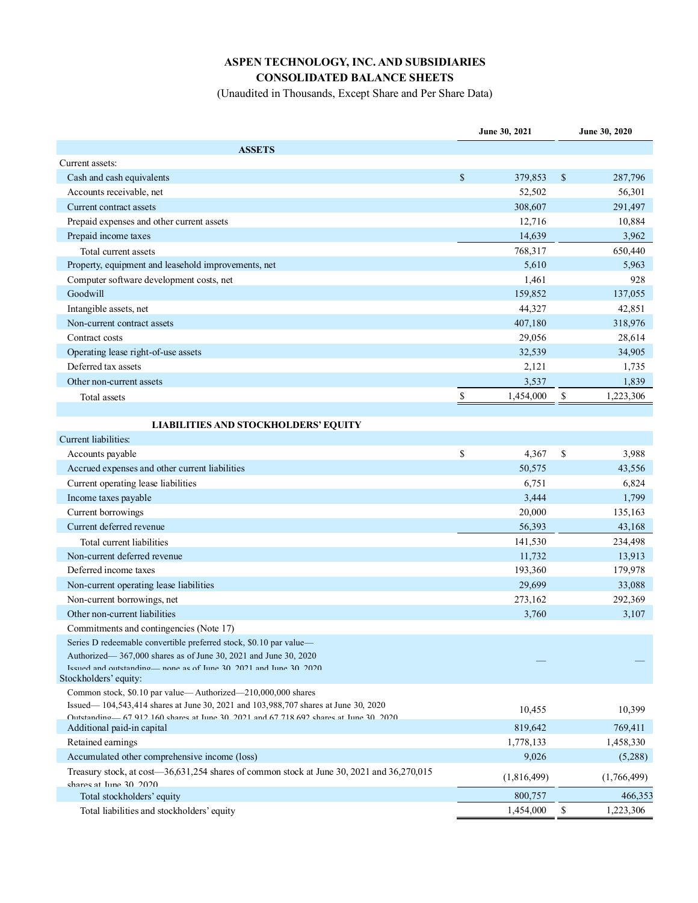# **ASPEN TECHNOLOGY, INC. AND SUBSIDIARIES CONSOLIDATED BALANCE SHEETS**

(Unaudited in Thousands, Except Share and Per Share Data)

|                                                                                           | June 30, 2021   |              | June 30, 2020 |
|-------------------------------------------------------------------------------------------|-----------------|--------------|---------------|
| <b>ASSETS</b>                                                                             |                 |              |               |
| Current assets:                                                                           |                 |              |               |
| Cash and cash equivalents                                                                 | \$<br>379,853   | $\mathbb{S}$ | 287,796       |
| Accounts receivable, net                                                                  | 52,502          |              | 56,301        |
| Current contract assets                                                                   | 308,607         |              | 291,497       |
| Prepaid expenses and other current assets                                                 | 12,716          |              | 10,884        |
| Prepaid income taxes                                                                      | 14,639          |              | 3,962         |
| Total current assets                                                                      | 768,317         |              | 650,440       |
| Property, equipment and leasehold improvements, net                                       | 5,610           |              | 5,963         |
| Computer software development costs, net                                                  | 1,461           |              | 928           |
| Goodwill                                                                                  | 159,852         |              | 137,055       |
| Intangible assets, net                                                                    | 44,327          |              | 42,851        |
| Non-current contract assets                                                               | 407,180         |              | 318,976       |
| Contract costs                                                                            | 29,056          |              | 28,614        |
| Operating lease right-of-use assets                                                       | 32,539          |              | 34,905        |
| Deferred tax assets                                                                       | 2,121           |              | 1,735         |
| Other non-current assets                                                                  | 3,537           |              | 1,839         |
| Total assets                                                                              | \$<br>1,454,000 | \$           | 1,223,306     |
|                                                                                           |                 |              |               |
| LIABILITIES AND STOCKHOLDERS' EQUITY                                                      |                 |              |               |
| Current liabilities:                                                                      |                 |              |               |
| Accounts payable                                                                          | \$<br>4,367     | \$           | 3,988         |
| Accrued expenses and other current liabilities                                            | 50,575          |              | 43,556        |
| Current operating lease liabilities                                                       | 6,751           |              | 6,824         |
| Income taxes payable                                                                      | 3,444           |              | 1,799         |
| Current borrowings                                                                        | 20,000          |              | 135,163       |
| Current deferred revenue                                                                  | 56,393          |              | 43,168        |
| Total current liabilities                                                                 | 141,530         |              | 234,498       |
| Non-current deferred revenue                                                              | 11,732          |              | 13,913        |
| Deferred income taxes                                                                     | 193,360         |              | 179,978       |
| Non-current operating lease liabilities                                                   | 29,699          |              | 33,088        |
| Non-current borrowings, net                                                               | 273,162         |              | 292,369       |
| Other non-current liabilities                                                             | 3,760           |              | 3,107         |
| Commitments and contingencies (Note 17)                                                   |                 |              |               |
| Series D redeemable convertible preferred stock, \$0.10 par value-                        |                 |              |               |
| Authorized— 367,000 shares as of June 30, 2021 and June 30, 2020                          |                 |              |               |
| Issued and outstanding none as of Iune 30, 2021 and Iune 30, 2020                         |                 |              |               |
| Stockholders' equity:<br>Common stock, \$0.10 par value—Authorized—210,000,000 shares     |                 |              |               |
| Issued—104,543,414 shares at June 30, 2021 and 103,988,707 shares at June 30, 2020        |                 |              |               |
| Outstanding 67 912 160 shares at June 30, 2021 and 67 718 692 shares at June 30, 2020     | 10,455          |              | 10,399        |
| Additional paid-in capital                                                                | 819,642         |              | 769,411       |
| Retained earnings                                                                         | 1,778,133       |              | 1,458,330     |
| Accumulated other comprehensive income (loss)                                             | 9,026           |              | (5,288)       |
| Treasury stock, at cost—36,631,254 shares of common stock at June 30, 2021 and 36,270,015 | (1,816,499)     |              | (1,766,499)   |
| chares at June 30, 2020                                                                   |                 |              |               |
| Total stockholders' equity                                                                | 800,757         | \$           | 466,353       |
| Total liabilities and stockholders' equity                                                | 1,454,000       |              | 1,223,306     |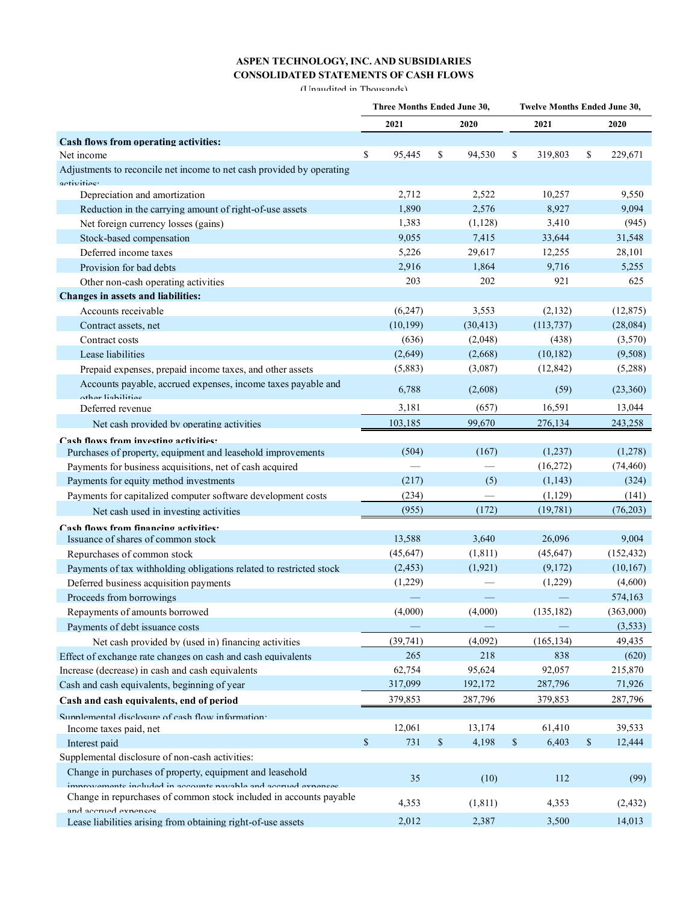# **ASPEN TECHNOLOGY, INC. AND SUBSIDIARIES CONSOLIDATED STATEMENTS OF CASH FLOWS**

(Unaudited in Thousands)

|                                                                                                                              | Three Months Ended June 30, |               |              |                 |    | <b>Twelve Months Ended June 30,</b> |    |                  |
|------------------------------------------------------------------------------------------------------------------------------|-----------------------------|---------------|--------------|-----------------|----|-------------------------------------|----|------------------|
|                                                                                                                              |                             | 2021          |              | 2020            |    | 2021                                |    | 2020             |
| Cash flows from operating activities:                                                                                        |                             |               |              |                 |    |                                     |    |                  |
| Net income                                                                                                                   | \$                          | 95,445        | \$           | 94,530          | \$ | 319,803                             | \$ | 229,671          |
| Adjustments to reconcile net income to net cash provided by operating                                                        |                             |               |              |                 |    |                                     |    |                  |
| activities.                                                                                                                  |                             |               |              |                 |    |                                     |    |                  |
| Depreciation and amortization                                                                                                |                             | 2,712         |              | 2,522           |    | 10,257                              |    | 9,550            |
| Reduction in the carrying amount of right-of-use assets                                                                      |                             | 1,890         |              | 2,576           |    | 8,927                               |    | 9,094            |
| Net foreign currency losses (gains)                                                                                          |                             | 1,383         |              | (1,128)         |    | 3,410                               |    | (945)            |
| Stock-based compensation                                                                                                     |                             | 9.055         |              | 7,415           |    | 33,644                              |    | 31,548           |
| Deferred income taxes                                                                                                        |                             | 5,226         |              | 29,617          |    | 12,255                              |    | 28,101           |
| Provision for bad debts                                                                                                      |                             | 2,916         |              | 1,864           |    | 9,716                               |    | 5,255            |
| Other non-cash operating activities                                                                                          |                             | 203           |              | 202             |    | 921                                 |    | 625              |
| Changes in assets and liabilities:                                                                                           |                             |               |              |                 |    |                                     |    |                  |
| Accounts receivable                                                                                                          |                             | (6,247)       |              | 3,553           |    | (2,132)                             |    | (12, 875)        |
| Contract assets, net                                                                                                         |                             | (10, 199)     |              | (30, 413)       |    | (113, 737)                          |    | (28,084)         |
| Contract costs                                                                                                               |                             | (636)         |              | (2,048)         |    | (438)                               |    | (3,570)          |
| Lease liabilities                                                                                                            |                             | (2,649)       |              | (2,668)         |    | (10, 182)                           |    | (9,508)          |
| Prepaid expenses, prepaid income taxes, and other assets                                                                     |                             | (5,883)       |              | (3,087)         |    | (12, 842)                           |    | (5,288)          |
| Accounts payable, accrued expenses, income taxes payable and<br>other lighilities                                            |                             | 6,788         |              | (2,608)         |    | (59)                                |    | (23,360)         |
| Deferred revenue                                                                                                             |                             | 3,181         |              | (657)           |    | 16,591                              |    | 13,044           |
| Net cash provided by operating activities                                                                                    |                             | 103,185       |              | 99,670          |    | 276,134                             |    | 243,258          |
|                                                                                                                              |                             |               |              |                 |    |                                     |    |                  |
| Cash flows from investing activities.<br>Purchases of property, equipment and leasehold improvements                         |                             | (504)         |              | (167)           |    | (1,237)                             |    | (1,278)          |
| Payments for business acquisitions, net of cash acquired                                                                     |                             |               |              |                 |    | (16,272)                            |    | (74, 460)        |
| Payments for equity method investments                                                                                       |                             | (217)         |              | (5)             |    | (1,143)                             |    | (324)            |
| Payments for capitalized computer software development costs                                                                 |                             | (234)         |              |                 |    | (1,129)                             |    | (141)            |
| Net cash used in investing activities                                                                                        |                             | (955)         |              | (172)           |    | (19,781)                            |    | (76,203)         |
|                                                                                                                              |                             |               |              |                 |    |                                     |    |                  |
| Cash flows from financing activities.<br>Issuance of shares of common stock                                                  |                             | 13,588        |              | 3,640           |    | 26,096                              |    | 9,004            |
| Repurchases of common stock                                                                                                  |                             | (45, 647)     |              | (1, 811)        |    | (45, 647)                           |    | (152, 432)       |
| Payments of tax withholding obligations related to restricted stock                                                          |                             | (2, 453)      |              | (1,921)         |    | (9,172)                             |    | (10, 167)        |
| Deferred business acquisition payments                                                                                       |                             | (1,229)       |              |                 |    | (1,229)                             |    | (4,600)          |
| Proceeds from borrowings                                                                                                     |                             |               |              |                 |    |                                     |    | 574,163          |
| Repayments of amounts borrowed                                                                                               |                             | (4,000)       |              | (4,000)         |    | (135, 182)                          |    | (363,000)        |
| Payments of debt issuance costs                                                                                              |                             |               |              |                 |    |                                     |    | (3,533)          |
|                                                                                                                              |                             | (39,741)      |              | (4,092)         |    | (165, 134)                          |    | 49,435           |
| Net cash provided by (used in) financing activities                                                                          |                             | 265           |              | 218             |    | 838                                 |    | (620)            |
| Effect of exchange rate changes on cash and cash equivalents<br>Increase (decrease) in cash and cash equivalents             |                             | 62,754        |              | 95,624          |    | 92,057                              |    | 215,870          |
| Cash and cash equivalents, beginning of year                                                                                 |                             | 317,099       |              | 192,172         |    | 287,796                             |    | 71,926           |
|                                                                                                                              |                             |               |              |                 |    |                                     |    |                  |
| Cash and cash equivalents, end of period                                                                                     |                             | 379,853       |              | 287,796         |    | 379,853                             |    | 287,796          |
| Supplemental disclosure of cash flow information:                                                                            |                             |               |              |                 |    |                                     |    |                  |
| Income taxes paid, net                                                                                                       | $\boldsymbol{\mathsf{S}}$   | 12,061<br>731 | $\mathbb{S}$ | 13,174<br>4,198 | \$ | 61,410<br>6,403                     | \$ | 39,533<br>12,444 |
| Interest paid                                                                                                                |                             |               |              |                 |    |                                     |    |                  |
| Supplemental disclosure of non-cash activities:                                                                              |                             |               |              |                 |    |                                     |    |                  |
| Change in purchases of property, equipment and leasehold<br>improvements included in accounts payable and accrued evolutions |                             | 35            |              | (10)            |    | 112                                 |    | (99)             |
| Change in repurchases of common stock included in accounts payable                                                           |                             |               |              |                 |    |                                     |    |                  |
| and accrued expenses                                                                                                         |                             | 4,353         |              | (1,811)         |    | 4,353                               |    | (2, 432)         |
| Lease liabilities arising from obtaining right-of-use assets                                                                 |                             | 2,012         |              | 2,387           |    | 3,500                               |    | 14,013           |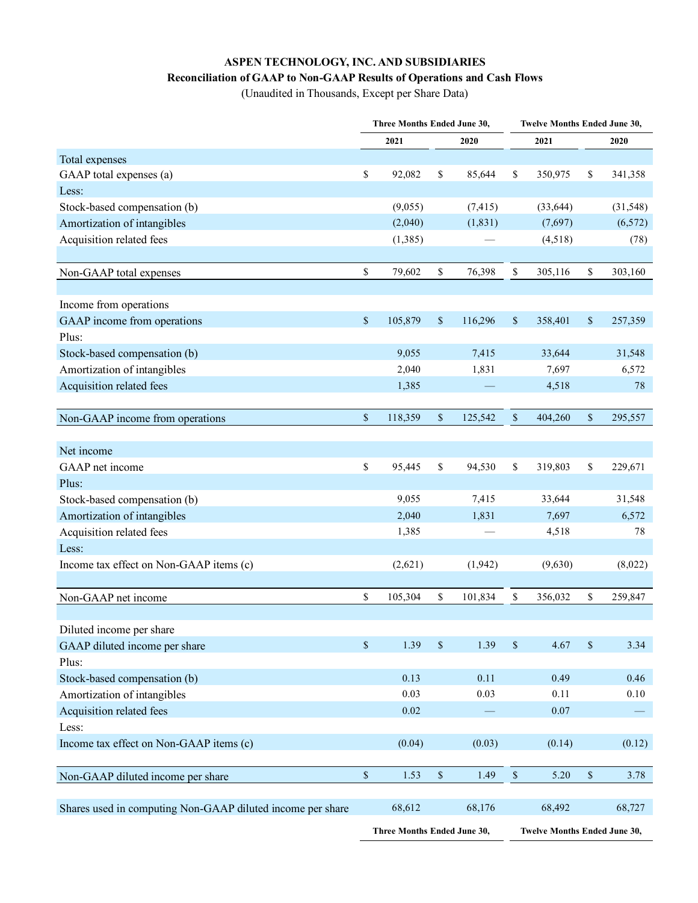# **ASPEN TECHNOLOGY, INC. AND SUBSIDIARIES Reconciliation of GAAP to Non-GAAP Results of Operations and Cash Flows**

(Unaudited in Thousands, Except per Share Data)

|                                                            | Three Months Ended June 30, |                             |             |          |              | <b>Twelve Months Ended June 30,</b> |    |           |  |  |
|------------------------------------------------------------|-----------------------------|-----------------------------|-------------|----------|--------------|-------------------------------------|----|-----------|--|--|
|                                                            |                             | 2021                        |             | 2020     |              | 2021                                |    | 2020      |  |  |
| Total expenses                                             |                             |                             |             |          |              |                                     |    |           |  |  |
| GAAP total expenses (a)                                    | \$                          | 92,082                      | \$          | 85,644   | \$           | 350,975                             | \$ | 341,358   |  |  |
| Less:                                                      |                             |                             |             |          |              |                                     |    |           |  |  |
| Stock-based compensation (b)                               |                             | (9,055)                     |             | (7, 415) |              | (33, 644)                           |    | (31, 548) |  |  |
| Amortization of intangibles                                |                             | (2,040)                     |             | (1, 831) |              | (7,697)                             |    | (6,572)   |  |  |
| Acquisition related fees                                   |                             | (1, 385)                    |             |          |              | (4,518)                             |    | (78)      |  |  |
|                                                            |                             |                             |             |          |              |                                     |    |           |  |  |
| Non-GAAP total expenses                                    | \$                          | 79,602                      | \$          | 76,398   | \$           | 305,116                             | \$ | 303,160   |  |  |
|                                                            |                             |                             |             |          |              |                                     |    |           |  |  |
| Income from operations                                     |                             |                             |             |          |              |                                     |    |           |  |  |
| GAAP income from operations                                | \$                          | 105,879                     | \$          | 116,296  | \$           | 358,401                             | \$ | 257,359   |  |  |
| Plus:                                                      |                             |                             |             |          |              |                                     |    |           |  |  |
| Stock-based compensation (b)                               |                             | 9,055                       |             | 7,415    |              | 33,644                              |    | 31,548    |  |  |
| Amortization of intangibles                                |                             | 2,040                       |             | 1,831    |              | 7,697                               |    | 6,572     |  |  |
| Acquisition related fees                                   |                             | 1,385                       |             |          |              | 4,518                               |    | 78        |  |  |
|                                                            |                             |                             |             |          |              |                                     |    |           |  |  |
| Non-GAAP income from operations                            | $\mathbb S$                 | 118,359                     | $\mathbb S$ | 125,542  | $\mathbb{S}$ | 404,260                             | \$ | 295,557   |  |  |
|                                                            |                             |                             |             |          |              |                                     |    |           |  |  |
| Net income                                                 |                             |                             |             |          |              |                                     |    |           |  |  |
| GAAP net income                                            | \$                          | 95,445                      | \$          | 94,530   | \$           | 319,803                             | \$ | 229,671   |  |  |
| Plus:                                                      |                             |                             |             |          |              |                                     |    |           |  |  |
| Stock-based compensation (b)                               |                             | 9,055                       |             | 7,415    |              | 33,644                              |    | 31,548    |  |  |
| Amortization of intangibles                                |                             | 2,040                       |             | 1,831    |              | 7,697                               |    | 6,572     |  |  |
| Acquisition related fees                                   |                             | 1,385                       |             |          |              | 4,518                               |    | 78        |  |  |
| Less:                                                      |                             |                             |             |          |              |                                     |    |           |  |  |
| Income tax effect on Non-GAAP items (c)                    |                             | (2,621)                     |             | (1,942)  |              | (9,630)                             |    | (8,022)   |  |  |
|                                                            |                             |                             |             |          |              |                                     |    |           |  |  |
| Non-GAAP net income                                        | \$                          | 105,304                     | \$          | 101,834  | \$           | 356,032                             | \$ | 259,847   |  |  |
|                                                            |                             |                             |             |          |              |                                     |    |           |  |  |
| Diluted income per share                                   |                             |                             |             |          |              |                                     |    |           |  |  |
| GAAP diluted income per share                              | $\$$                        | 1.39                        | \$          | 1.39     | $\$$         | 4.67                                | \$ | 3.34      |  |  |
| Plus:                                                      |                             |                             |             |          |              |                                     |    |           |  |  |
| Stock-based compensation (b)                               |                             | 0.13                        |             | 0.11     |              | 0.49                                |    | 0.46      |  |  |
| Amortization of intangibles                                |                             | 0.03                        |             | 0.03     |              | 0.11                                |    | $0.10\,$  |  |  |
| Acquisition related fees                                   |                             | 0.02                        |             |          |              | 0.07                                |    |           |  |  |
| Less:                                                      |                             |                             |             |          |              |                                     |    |           |  |  |
| Income tax effect on Non-GAAP items (c)                    |                             | (0.04)                      | (0.03)      |          |              | (0.14)                              |    | (0.12)    |  |  |
|                                                            |                             |                             |             |          |              |                                     |    |           |  |  |
| Non-GAAP diluted income per share                          | $\,$                        | 1.53                        | \$          | 1.49     | $\mathbb{S}$ | 5.20                                | \$ | 3.78      |  |  |
|                                                            |                             |                             |             |          |              |                                     |    |           |  |  |
| Shares used in computing Non-GAAP diluted income per share |                             | 68,612                      |             | 68,176   |              | 68,492                              |    | 68,727    |  |  |
|                                                            |                             | Three Months Ended June 30, |             |          |              | <b>Twelve Months Ended June 30,</b> |    |           |  |  |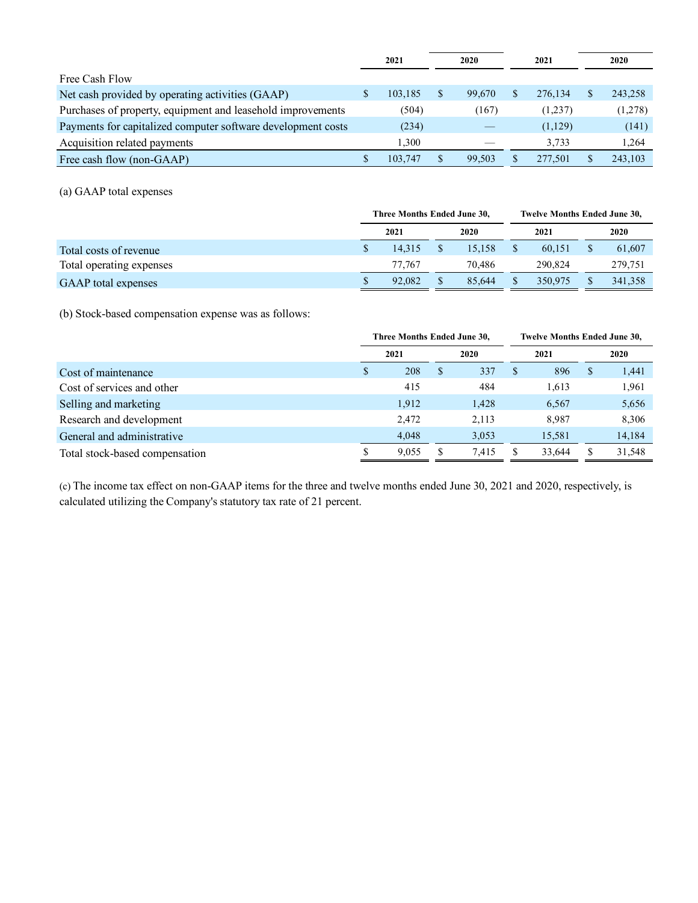|                                                              | 2021    | 2020   | 2021    | 2020    |
|--------------------------------------------------------------|---------|--------|---------|---------|
| Free Cash Flow                                               |         |        |         |         |
| Net cash provided by operating activities (GAAP)             | 103.185 | 99.670 | 276.134 | 243,258 |
| Purchases of property, equipment and leasehold improvements  | (504)   | (167)  | (1,237) | (1,278) |
| Payments for capitalized computer software development costs | (234)   |        | (1,129) | (141)   |
| Acquisition related payments                                 | 1.300   |        | 3.733   | 1.264   |
| Free cash flow (non-GAAP)                                    | 103,747 | 99.503 | 277,501 | 243,103 |

(a) GAAP total expenses

|                            |      | Three Months Ended June 30, |      |        |      |         | <b>Twelve Months Ended June 30,</b> |         |  |
|----------------------------|------|-----------------------------|------|--------|------|---------|-------------------------------------|---------|--|
|                            | 2021 |                             | 2020 |        | 2021 |         | 2020                                |         |  |
| Total costs of revenue     |      | 14.315                      |      | 15.158 |      | 60.151  |                                     | 61,607  |  |
| Total operating expenses   |      | 77.767                      |      | 70.486 |      | 290,824 |                                     | 279,751 |  |
| <b>GAAP</b> total expenses |      | 92,082                      |      | 85,644 |      | 350,975 |                                     | 341,358 |  |

(b) Stock-based compensation expense was as follows:

|                                |      | Three Months Ended June 30, |      |       |      |        | <b>Twelve Months Ended June 30,</b> |        |  |
|--------------------------------|------|-----------------------------|------|-------|------|--------|-------------------------------------|--------|--|
|                                | 2021 |                             | 2020 |       | 2021 |        |                                     | 2020   |  |
| Cost of maintenance            | S.   | 208                         | S    | 337   | S    | 896    | S                                   | 1,441  |  |
| Cost of services and other     |      | 415                         |      | 484   |      | 1,613  |                                     | 1,961  |  |
| Selling and marketing          |      | 1,912                       |      | 1,428 |      | 6,567  |                                     | 5,656  |  |
| Research and development       |      | 2,472                       |      | 2.113 |      | 8.987  |                                     | 8,306  |  |
| General and administrative     |      | 4.048                       |      | 3.053 |      | 15,581 |                                     | 14,184 |  |
| Total stock-based compensation |      | 9.055                       | S    | 7.415 |      | 33.644 |                                     | 31,548 |  |
|                                |      |                             |      |       |      |        |                                     |        |  |

(c) The income tax effect on non-GAAP items for the three and twelve months ended June 30, 2021 and 2020, respectively, is calculated utilizing the Company's statutory tax rate of 21 percent.